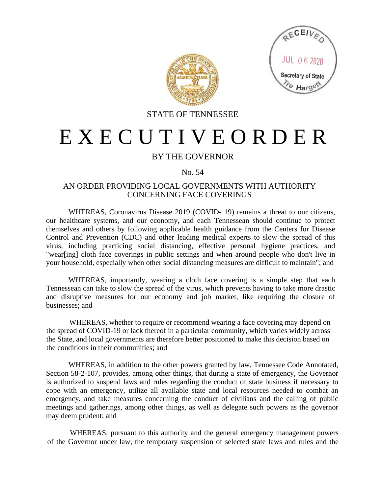



## STATE OF TENNESSEE

# E X E C U T I V E O R D E R

### BY THE GOVERNOR

#### No. 54

### AN ORDER PROVIDING LOCAL GOVERNMENTS WITH AUTHORITY CONCERNING FACE COVERINGS

WHEREAS, Coronavirus Disease 2019 (COVID- 19) remains a threat to our citizens, our healthcare systems, and our economy, and each Tennessean should continue to protect themselves and others by following applicable health guidance from the Centers for Disease Control and Prevention (CDC) and other leading medical experts to slow the spread of this virus, including practicing social distancing, effective personal hygiene practices, and "wear[ing] cloth face coverings in public settings and when around people who don't live in your household, especially when other social distancing measures are difficult to maintain"; and

WHEREAS, importantly, wearing a cloth face covering is a simple step that each Tennessean can take to slow the spread of the virus, which prevents having to take more drastic and disruptive measures for our economy and job market, like requiring the closure of businesses; and

WHEREAS, whether to require or recommend wearing a face covering may depend on the spread of COVID-19 or lack thereof in a particular community, which varies widely across the State, and local governments are therefore better positioned to make this decision based on the conditions in their communities; and

WHEREAS, in addition to the other powers granted by law, Tennessee Code Annotated, Section 58-2-107, provides, among other things, that during a state of emergency, the Governor is authorized to suspend laws and rules regarding the conduct of state business if necessary to cope with an emergency, utilize all available state and local resources needed to combat an emergency, and take measures concerning the conduct of civilians and the calling of public meetings and gatherings, among other things, as well as delegate such powers as the governor may deem prudent; and

WHEREAS, pursuant to this authority and the general emergency management powers of the Governor under law, the temporary suspension of selected state laws and rules and the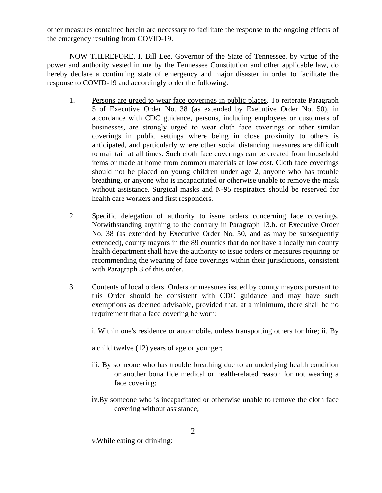other measures contained herein are necessary to facilitate the response to the ongoing effects of the emergency resulting from COVID-19.

NOW THEREFORE, I, Bill Lee, Governor of the State of Tennessee, by virtue of the power and authority vested in me by the Tennessee Constitution and other applicable law, do hereby declare a continuing state of emergency and major disaster in order to facilitate the response to COVID-19 and accordingly order the following:

- 1. Persons are urged to wear face coverings in public places. To reiterate Paragraph 5 of Executive Order No. 38 (as extended by Executive Order No. 50), in accordance with CDC guidance, persons, including employees or customers of businesses, are strongly urged to wear cloth face coverings or other similar coverings in public settings where being in close proximity to others is anticipated, and particularly where other social distancing measures are difficult to maintain at all times. Such cloth face coverings can be created from household items or made at home from common materials at low cost. Cloth face coverings should not be placed on young children under age 2, anyone who has trouble breathing, or anyone who is incapacitated or otherwise unable to remove the mask without assistance. Surgical masks and N-95 respirators should be reserved for health care workers and first responders.
- 2. Specific delegation of authority to issue orders concerning face coverings. Notwithstanding anything to the contrary in Paragraph 13.b. of Executive Order No. 38 (as extended by Executive Order No. 50, and as may be subsequently extended), county mayors in the 89 counties that do not have a locally run county health department shall have the authority to issue orders or measures requiring or recommending the wearing of face coverings within their jurisdictions, consistent with Paragraph 3 of this order.
- 3. Contents of local orders. Orders or measures issued by county mayors pursuant to this Order should be consistent with CDC guidance and may have such exemptions as deemed advisable, provided that, at a minimum, there shall be no requirement that a face covering be worn:

i. Within one's residence or automobile, unless transporting others for hire; ii. By

a child twelve (12) years of age or younger;

- iii. By someone who has trouble breathing due to an underlying health condition or another bona fide medical or health-related reason for not wearing a face covering;
- iv. By someone who is incapacitated or otherwise unable to remove the cloth face covering without assistance;

While eating or drinking: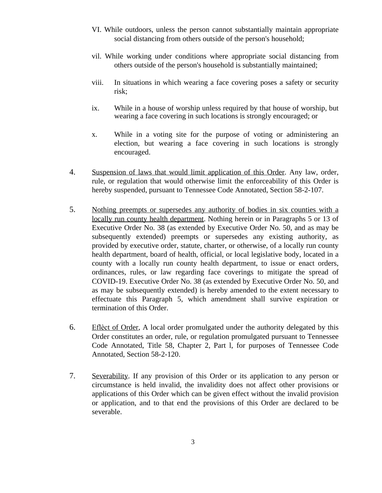- VI. While outdoors, unless the person cannot substantially maintain appropriate social distancing from others outside of the person's household;
- vil. While working under conditions where appropriate social distancing from others outside of the person's household is substantially maintained;
- viii. In situations in which wearing a face covering poses a safety or security risk;
- ix. While in a house of worship unless required by that house of worship, but wearing a face covering in such locations is strongly encouraged; or
- x. While in a voting site for the purpose of voting or administering an election, but wearing a face covering in such locations is strongly encouraged.
- 4. Suspension of laws that would limit application of this Order. Any law, order, rule, or regulation that would otherwise limit the enforceability of this Order is hereby suspended, pursuant to Tennessee Code Annotated, Section 58-2-107.
- 5. Nothing preempts or supersedes any authority of bodies in six counties with a locally run county health department. Nothing herein or in Paragraphs 5 or 13 of Executive Order No. 38 (as extended by Executive Order No. 50, and as may be subsequently extended) preempts or supersedes any existing authority, as provided by executive order, statute, charter, or otherwise, of a locally run county health department, board of health, official, or local legislative body, located in a county with a locally run county health department, to issue or enact orders, ordinances, rules, or law regarding face coverings to mitigate the spread of COVID-19. Executive Order No. 38 (as extended by Executive Order No. 50, and as may be subsequently extended) is hereby amended to the extent necessary to effectuate this Paragraph 5, which amendment shall survive expiration or termination of this Order.
- 6. Eflèct of Order, A local order promulgated under the authority delegated by this Order constitutes an order, rule, or regulation promulgated pursuant to Tennessee Code Annotated, Title 58, Chapter 2, Part l, for purposes of Tennessee Code Annotated, Section 58-2-120.
- 7. Severability. If any provision of this Order or its application to any person or circumstance is held invalid, the invalidity does not affect other provisions or applications of this Order which can be given effect without the invalid provision or application, and to that end the provisions of this Order are declared to be severable.